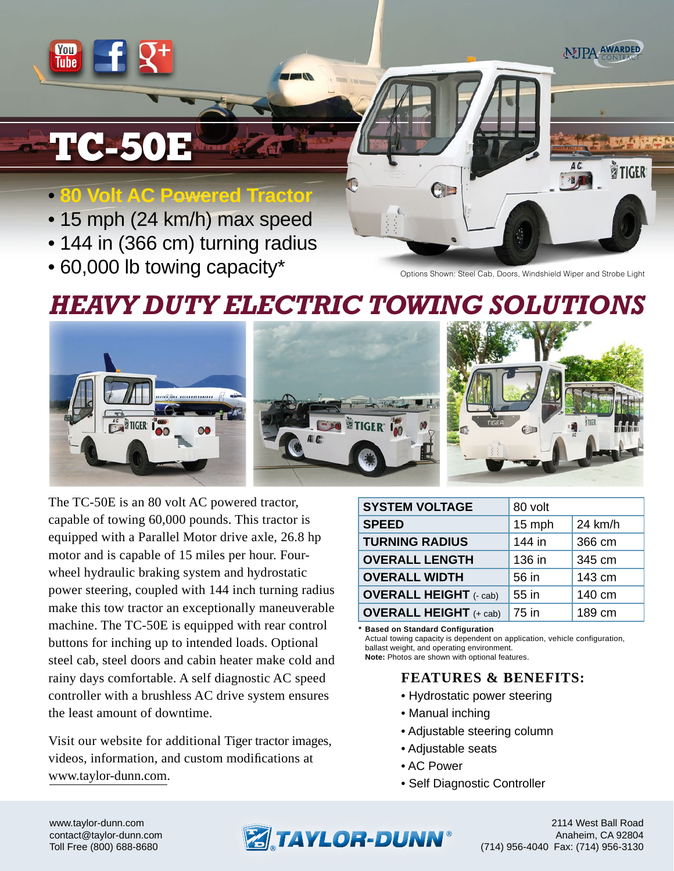# TC-50E

Yon<br>Tube

# • **80 Volt AC Powered Tractor**

- 15 mph (24 km/h) max speed
- 144 in (366 cm) turning radius
- 60,000 lb towing capacity\*

Options Shown: Steel Cab, Doors, Windshield Wiper and Strobe Light

 $C_{\mathbb{Z}}$ 

MIPA AWARDED

**TIGFR** 

# *HEAVY DUTY ELECTRIC TOWING SOLUTIONS*



The TC-50E is an 80 volt AC powered tractor, capable of towing 60,000 pounds. This tractor is equipped with a Parallel Motor drive axle, 26.8 hp motor and is capable of 15 miles per hour. Fourwheel hydraulic braking system and hydrostatic power steering, coupled with 144 inch turning radius make this tow tractor an exceptionally maneuverable machine. The TC-50E is equipped with rear control buttons for inching up to intended loads. Optional steel cab, steel doors and cabin heater make cold and rainy days comfortable. A self diagnostic AC speed controller with a brushless AC drive system ensures the least amount of downtime.

Visit our website for additional Tiger tractor images, videos, information, and custom modifications at www.taylor-dunn.com.

| <b>SYSTEM VOLTAGE</b>         | 80 volt           |        |  |
|-------------------------------|-------------------|--------|--|
| <b>SPEED</b>                  | 15 mph<br>24 km/h |        |  |
| <b>TURNING RADIUS</b>         | 144 in            | 366 cm |  |
| <b>OVERALL LENGTH</b>         | 136 in            | 345 cm |  |
| <b>OVERALL WIDTH</b>          | 56 in             | 143 cm |  |
| <b>OVERALL HEIGHT</b> (- cab) | 55 in             | 140 cm |  |
| <b>OVERALL HEIGHT</b> (+ cab) | 75 in             | 189 cm |  |

**\* Based on Standard Configuration**

Actual towing capacity is dependent on application, vehicle configuration, ballast weight, and operating environment.

#### **Note:** Photos are shown with optional features.

### **FEATURES & BENEFITS:**

- Hydrostatic power steering
- Manual inching
- Adjustable steering column
- Adjustable seats
- AC Power
- Self Diagnostic Controller

www.taylor-dunn.com contact@taylor-dunn.com Toll Free (800) 688-8680



2114 West Ball Road Anaheim, CA 92804 (714) 956-4040 Fax: (714) 956-3130